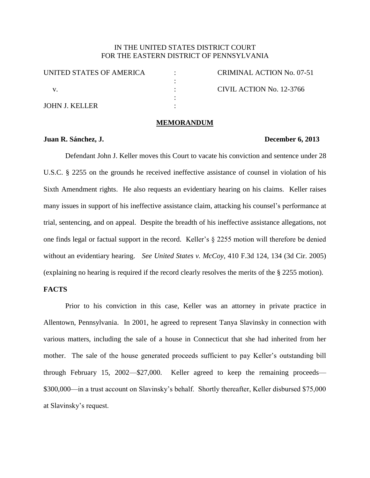# IN THE UNITED STATES DISTRICT COURT FOR THE EASTERN DISTRICT OF PENNSYLVANIA

UNITED STATES OF AMERICA v. JOHN J. KELLER : : : : : CRIMINAL ACTION No. 07-51 CIVIL ACTION No. 12-3766

#### **MEMORANDUM**

#### **Juan R. Sánchez, J. December 6, 2013**

Defendant John J. Keller moves this Court to vacate his conviction and sentence under 28 U.S.C. § 2255 on the grounds he received ineffective assistance of counsel in violation of his Sixth Amendment rights. He also requests an evidentiary hearing on his claims. Keller raises many issues in support of his ineffective assistance claim, attacking his counsel's performance at trial, sentencing, and on appeal. Despite the breadth of his ineffective assistance allegations, not one finds legal or factual support in the record. Keller's § 2255 motion will therefore be denied without an evidentiary hearing. *See United States v. McCoy*, 410 F.3d 124, 134 (3d Cir. 2005) (explaining no hearing is required if the record clearly resolves the merits of the § 2255 motion).

## **FACTS**

Prior to his conviction in this case, Keller was an attorney in private practice in Allentown, Pennsylvania. In 2001, he agreed to represent Tanya Slavinsky in connection with various matters, including the sale of a house in Connecticut that she had inherited from her mother. The sale of the house generated proceeds sufficient to pay Keller's outstanding bill through February 15, 2002—\$27,000. Keller agreed to keep the remaining proceeds— \$300,000—in a trust account on Slavinsky's behalf. Shortly thereafter, Keller disbursed \$75,000 at Slavinsky's request.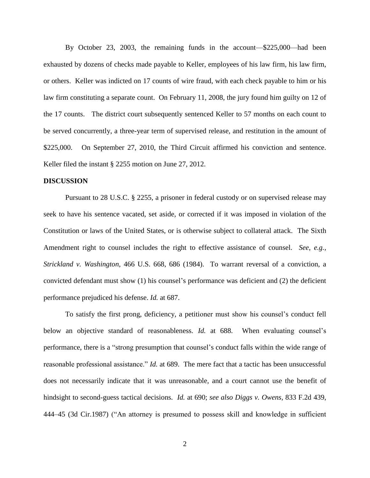By October 23, 2003, the remaining funds in the account—\$225,000—had been exhausted by dozens of checks made payable to Keller, employees of his law firm, his law firm, or others. Keller was indicted on 17 counts of wire fraud, with each check payable to him or his law firm constituting a separate count. On February 11, 2008, the jury found him guilty on 12 of the 17 counts. The district court subsequently sentenced Keller to 57 months on each count to be served concurrently, a three-year term of supervised release, and restitution in the amount of \$225,000. On September 27, 2010, the Third Circuit affirmed his conviction and sentence. Keller filed the instant § 2255 motion on June 27, 2012.

#### **DISCUSSION**

Pursuant to 28 U.S.C. § 2255, a prisoner in federal custody or on supervised release may seek to have his sentence vacated, set aside, or corrected if it was imposed in violation of the Constitution or laws of the United States, or is otherwise subject to collateral attack. The Sixth Amendment right to counsel includes the right to effective assistance of counsel. *See, e.g., Strickland v. Washington,* 466 U.S. 668, 686 (1984). To warrant reversal of a conviction, a convicted defendant must show (1) his counsel's performance was deficient and (2) the deficient performance prejudiced his defense. *Id.* at 687.

To satisfy the first prong, deficiency, a petitioner must show his counsel's conduct fell below an objective standard of reasonableness. *Id.* at 688. When evaluating counsel's performance, there is a "strong presumption that counsel's conduct falls within the wide range of reasonable professional assistance." *Id.* at 689. The mere fact that a tactic has been unsuccessful does not necessarily indicate that it was unreasonable, and a court cannot use the benefit of hindsight to second-guess tactical decisions. *Id.* at 690; *see also Diggs v. Owens,* 833 F.2d 439, 444–45 (3d Cir.1987) ("An attorney is presumed to possess skill and knowledge in sufficient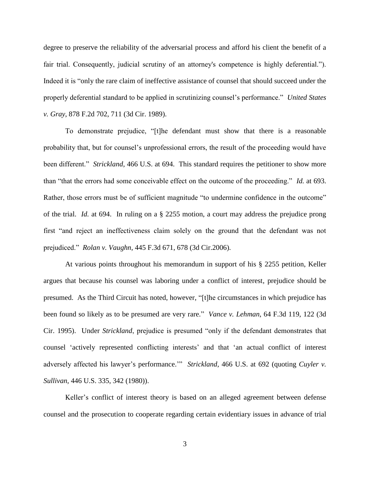degree to preserve the reliability of the adversarial process and afford his client the benefit of a fair trial. Consequently, judicial scrutiny of an attorney's competence is highly deferential."). Indeed it is "only the rare claim of ineffective assistance of counsel that should succeed under the properly deferential standard to be applied in scrutinizing counsel's performance." *United States v. Gray*, 878 F.2d 702, 711 (3d Cir. 1989).

To demonstrate prejudice, "[t]he defendant must show that there is a reasonable probability that, but for counsel's unprofessional errors, the result of the proceeding would have been different." *Strickland*, 466 U.S. at 694. This standard requires the petitioner to show more than "that the errors had some conceivable effect on the outcome of the proceeding." *Id.* at 693. Rather, those errors must be of sufficient magnitude "to undermine confidence in the outcome" of the trial. *Id.* at 694. In ruling on a § 2255 motion, a court may address the prejudice prong first "and reject an ineffectiveness claim solely on the ground that the defendant was not prejudiced." *Rolan v. Vaughn*, 445 F.3d 671, 678 (3d Cir.2006).

At various points throughout his memorandum in support of his § 2255 petition, Keller argues that because his counsel was laboring under a conflict of interest, prejudice should be presumed. As the Third Circuit has noted, however, "[t]he circumstances in which prejudice has been found so likely as to be presumed are very rare." *Vance v. Lehman*, 64 F.3d 119, 122 (3d Cir. 1995). Under *Strickland*, prejudice is presumed "only if the defendant demonstrates that counsel 'actively represented conflicting interests' and that 'an actual conflict of interest adversely affected his lawyer's performance.'" *Strickland*, 466 U.S. at 692 (quoting *Cuyler v. Sullivan*, 446 U.S. 335, 342 (1980)).

Keller's conflict of interest theory is based on an alleged agreement between defense counsel and the prosecution to cooperate regarding certain evidentiary issues in advance of trial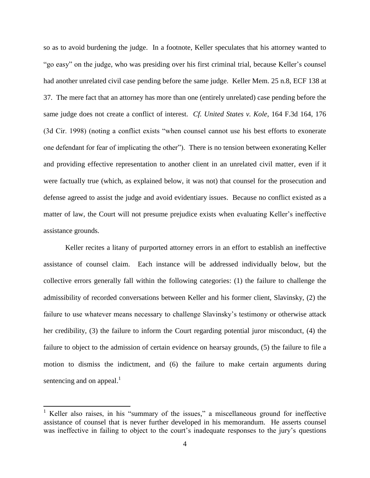so as to avoid burdening the judge. In a footnote, Keller speculates that his attorney wanted to "go easy" on the judge, who was presiding over his first criminal trial, because Keller's counsel had another unrelated civil case pending before the same judge. Keller Mem. 25 n.8, ECF 138 at 37. The mere fact that an attorney has more than one (entirely unrelated) case pending before the same judge does not create a conflict of interest. *Cf. United States v. Kole*, 164 F.3d 164, 176 (3d Cir. 1998) (noting a conflict exists "when counsel cannot use his best efforts to exonerate one defendant for fear of implicating the other"). There is no tension between exonerating Keller and providing effective representation to another client in an unrelated civil matter, even if it were factually true (which, as explained below, it was not) that counsel for the prosecution and defense agreed to assist the judge and avoid evidentiary issues. Because no conflict existed as a matter of law, the Court will not presume prejudice exists when evaluating Keller's ineffective assistance grounds.

Keller recites a litany of purported attorney errors in an effort to establish an ineffective assistance of counsel claim. Each instance will be addressed individually below, but the collective errors generally fall within the following categories: (1) the failure to challenge the admissibility of recorded conversations between Keller and his former client, Slavinsky, (2) the failure to use whatever means necessary to challenge Slavinsky's testimony or otherwise attack her credibility, (3) the failure to inform the Court regarding potential juror misconduct, (4) the failure to object to the admission of certain evidence on hearsay grounds, (5) the failure to file a motion to dismiss the indictment, and (6) the failure to make certain arguments during sentencing and on appeal. $<sup>1</sup>$ </sup>

<sup>&</sup>lt;sup>1</sup> Keller also raises, in his "summary of the issues," a miscellaneous ground for ineffective assistance of counsel that is never further developed in his memorandum. He asserts counsel was ineffective in failing to object to the court's inadequate responses to the jury's questions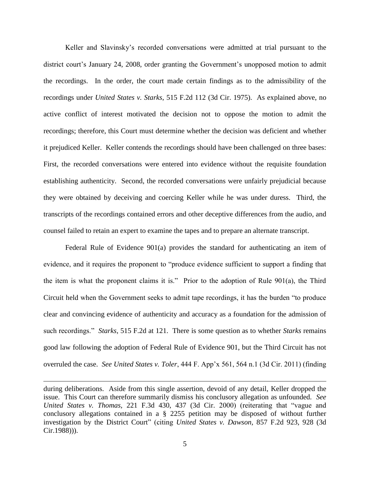Keller and Slavinsky's recorded conversations were admitted at trial pursuant to the district court's January 24, 2008, order granting the Government's unopposed motion to admit the recordings. In the order, the court made certain findings as to the admissibility of the recordings under *United States v. Starks*, 515 F.2d 112 (3d Cir. 1975). As explained above, no active conflict of interest motivated the decision not to oppose the motion to admit the recordings; therefore, this Court must determine whether the decision was deficient and whether it prejudiced Keller. Keller contends the recordings should have been challenged on three bases: First, the recorded conversations were entered into evidence without the requisite foundation establishing authenticity. Second, the recorded conversations were unfairly prejudicial because they were obtained by deceiving and coercing Keller while he was under duress. Third, the transcripts of the recordings contained errors and other deceptive differences from the audio, and counsel failed to retain an expert to examine the tapes and to prepare an alternate transcript.

Federal Rule of Evidence 901(a) provides the standard for authenticating an item of evidence, and it requires the proponent to "produce evidence sufficient to support a finding that the item is what the proponent claims it is." Prior to the adoption of Rule 901(a), the Third Circuit held when the Government seeks to admit tape recordings, it has the burden "to produce clear and convincing evidence of authenticity and accuracy as a foundation for the admission of such recordings." *Starks*, 515 F.2d at 121. There is some question as to whether *Starks* remains good law following the adoption of Federal Rule of Evidence 901, but the Third Circuit has not overruled the case. *See United States v. Toler*, 444 F. App'x 561, 564 n.1 (3d Cir. 2011) (finding

during deliberations. Aside from this single assertion, devoid of any detail, Keller dropped the issue. This Court can therefore summarily dismiss his conclusory allegation as unfounded. *See United States v. Thomas,* 221 F.3d 430, 437 (3d Cir. 2000) (reiterating that "vague and conclusory allegations contained in a § 2255 petition may be disposed of without further investigation by the District Court" (citing *United States v. Dawson,* 857 F.2d 923, 928 (3d Cir.1988))).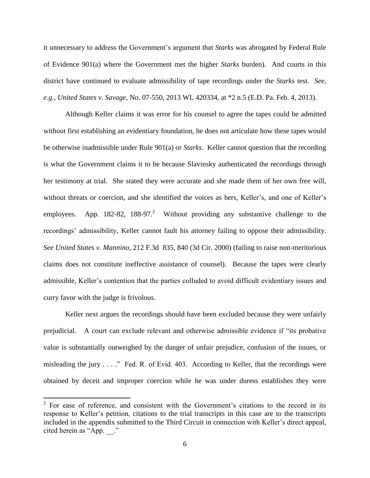it unnecessary to address the Government's argument that *Starks* was abrogated by Federal Rule of Evidence 901(a) where the Government met the higher *Starks* burden). And courts in this district have continued to evaluate admissibility of tape recordings under the *Starks* test. *See, e.g.*, *United States v. Savage*, No. 07-550, 2013 WL 420334, at \*2 n.5 (E.D. Pa. Feb. 4, 2013).

Although Keller claims it was error for his counsel to agree the tapes could be admitted without first establishing an evidentiary foundation, he does not articulate how these tapes would be otherwise inadmissible under Rule 901(a) or *Starks*. Keller cannot question that the recording is what the Government claims it to be because Slavinsky authenticated the recordings through her testimony at trial. She stated they were accurate and she made them of her own free will, without threats or coercion, and she identified the voices as hers, Keller's, and one of Keller's employees. App. 182-82, 188-97.<sup>2</sup> Without providing any substantive challenge to the recordings' admissibility, Keller cannot fault his attorney failing to oppose their admissibility. *See United States v. Mannino*, 212 F.3d 835, 840 (3d Cir. 2000) (failing to raise non-meritorious claims does not constitute ineffective assistance of counsel). Because the tapes were clearly admissible, Keller's contention that the parties colluded to avoid difficult evidentiary issues and curry favor with the judge is frivolous.

Keller next argues the recordings should have been excluded because they were unfairly prejudicial. A court can exclude relevant and otherwise admissible evidence if "its probative value is substantially outweighed by the danger of unfair prejudice, confusion of the issues, or misleading the jury . . . ." Fed. R. of Evid. 403. According to Keller, that the recordings were obtained by deceit and improper coercion while he was under duress establishes they were

 $2^2$  For ease of reference, and consistent with the Government's citations to the record in its response to Keller's petition, citations to the trial transcripts in this case are to the transcripts included in the appendix submitted to the Third Circuit in connection with Keller's direct appeal, cited herein as "App.  $\therefore$ "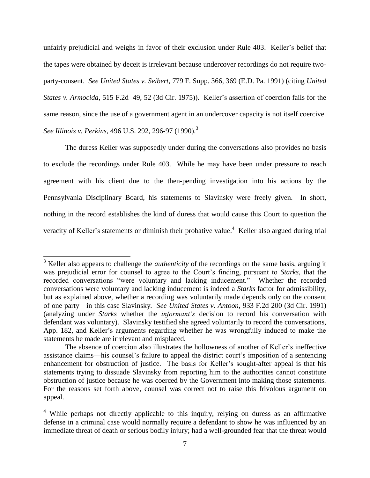unfairly prejudicial and weighs in favor of their exclusion under Rule 403. Keller's belief that the tapes were obtained by deceit is irrelevant because undercover recordings do not require twoparty-consent. *See United States v. Seibert*, 779 F. Supp. 366, 369 (E.D. Pa. 1991) (citing *United States v. Armocida*, 515 F.2d 49, 52 (3d Cir. 1975)). Keller's assertion of coercion fails for the same reason, since the use of a government agent in an undercover capacity is not itself coercive. *See Illinois v. Perkins*, 496 U.S. 292, 296-97 (1990).<sup>3</sup>

The duress Keller was supposedly under during the conversations also provides no basis to exclude the recordings under Rule 403. While he may have been under pressure to reach agreement with his client due to the then-pending investigation into his actions by the Pennsylvania Disciplinary Board, his statements to Slavinsky were freely given. In short, nothing in the record establishes the kind of duress that would cause this Court to question the veracity of Keller's statements or diminish their probative value.<sup>4</sup> Keller also argued during trial

l

<sup>3</sup> Keller also appears to challenge the *authenticity* of the recordings on the same basis, arguing it was prejudicial error for counsel to agree to the Court's finding, pursuant to *Starks*, that the recorded conversations "were voluntary and lacking inducement." Whether the recorded conversations were voluntary and lacking inducement is indeed a *Starks* factor for admissibility, but as explained above, whether a recording was voluntarily made depends only on the consent of one party—in this case Slavinsky. *See United States v. Antoon*, 933 F.2d 200 (3d Cir. 1991) (analyzing under *Starks* whether the *informant's* decision to record his conversation with defendant was voluntary). Slavinsky testified she agreed voluntarily to record the conversations, App. 182, and Keller's arguments regarding whether he was wrongfully induced to make the statements he made are irrelevant and misplaced.

The absence of coercion also illustrates the hollowness of another of Keller's ineffective assistance claims—his counsel's failure to appeal the district court's imposition of a sentencing enhancement for obstruction of justice. The basis for Keller's sought-after appeal is that his statements trying to dissuade Slavinsky from reporting him to the authorities cannot constitute obstruction of justice because he was coerced by the Government into making those statements. For the reasons set forth above, counsel was correct not to raise this frivolous argument on appeal.

 $4$  While perhaps not directly applicable to this inquiry, relying on duress as an affirmative defense in a criminal case would normally require a defendant to show he was influenced by an immediate threat of death or serious bodily injury; had a well-grounded fear that the threat would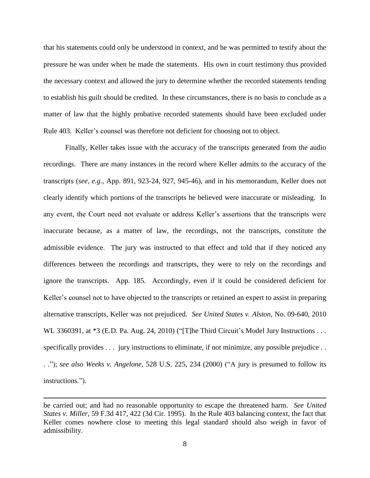that his statements could only be understood in context, and he was permitted to testify about the pressure he was under when he made the statements. His own in court testimony thus provided the necessary context and allowed the jury to determine whether the recorded statements tending to establish his guilt should be credited. In these circumstances, there is no basis to conclude as a matter of law that the highly probative recorded statements should have been excluded under Rule 403. Keller's counsel was therefore not deficient for choosing not to object.

Finally, Keller takes issue with the accuracy of the transcripts generated from the audio recordings. There are many instances in the record where Keller admits to the accuracy of the transcripts (*see, e.g.*, App. 891, 923-24, 927, 945-46), and in his memorandum, Keller does not clearly identify which portions of the transcripts he believed were inaccurate or misleading. In any event, the Court need not evaluate or address Keller's assertions that the transcripts were inaccurate because, as a matter of law, the recordings, not the transcripts, constitute the admissible evidence. The jury was instructed to that effect and told that if they noticed any differences between the recordings and transcripts, they were to rely on the recordings and ignore the transcripts. App. 185. Accordingly, even if it could be considered deficient for Keller's counsel not to have objected to the transcripts or retained an expert to assist in preparing alternative transcripts, Keller was not prejudiced. *See United States v. Alston*, No. 09-640, 2010 WL 3360391, at \*3 (E.D. Pa. Aug. 24, 2010) ("[T]he Third Circuit's Model Jury Instructions . . . specifically provides . . . jury instructions to eliminate, if not minimize, any possible prejudice . . . ."); *see also Weeks v. Angelone*, 528 U.S. 225, 234 (2000) ("A jury is presumed to follow its instructions.").

be carried out; and had no reasonable opportunity to escape the threatened harm. *See United States v. Miller*, 59 F.3d 417, 422 (3d Cir. 1995). In the Rule 403 balancing context, the fact that Keller comes nowhere close to meeting this legal standard should also weigh in favor of admissibility.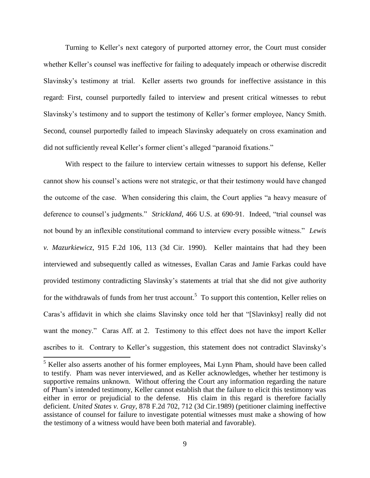Turning to Keller's next category of purported attorney error, the Court must consider whether Keller's counsel was ineffective for failing to adequately impeach or otherwise discredit Slavinsky's testimony at trial. Keller asserts two grounds for ineffective assistance in this regard: First, counsel purportedly failed to interview and present critical witnesses to rebut Slavinsky's testimony and to support the testimony of Keller's former employee, Nancy Smith. Second, counsel purportedly failed to impeach Slavinsky adequately on cross examination and did not sufficiently reveal Keller's former client's alleged "paranoid fixations."

With respect to the failure to interview certain witnesses to support his defense, Keller cannot show his counsel's actions were not strategic, or that their testimony would have changed the outcome of the case. When considering this claim, the Court applies "a heavy measure of deference to counsel's judgments." *Strickland*, 466 U.S. at 690-91. Indeed, "trial counsel was not bound by an inflexible constitutional command to interview every possible witness." *Lewis v. Mazurkiewicz*, 915 F.2d 106, 113 (3d Cir. 1990). Keller maintains that had they been interviewed and subsequently called as witnesses, Evallan Caras and Jamie Farkas could have provided testimony contradicting Slavinsky's statements at trial that she did not give authority for the withdrawals of funds from her trust account.<sup>5</sup> To support this contention, Keller relies on Caras's affidavit in which she claims Slavinsky once told her that "[Slavinksy] really did not want the money." Caras Aff. at 2. Testimony to this effect does not have the import Keller ascribes to it. Contrary to Keller's suggestion, this statement does not contradict Slavinsky's

<sup>&</sup>lt;sup>5</sup> Keller also asserts another of his former employees, Mai Lynn Pham, should have been called to testify. Pham was never interviewed, and as Keller acknowledges, whether her testimony is supportive remains unknown. Without offering the Court any information regarding the nature of Pham's intended testimony, Keller cannot establish that the failure to elicit this testimony was either in error or prejudicial to the defense. His claim in this regard is therefore facially deficient. *United States v. Gray,* 878 F.2d 702, 712 (3d Cir.1989) (petitioner claiming ineffective assistance of counsel for failure to investigate potential witnesses must make a showing of how the testimony of a witness would have been both material and favorable).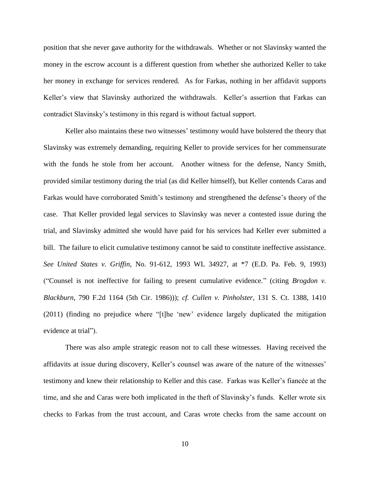position that she never gave authority for the withdrawals. Whether or not Slavinsky wanted the money in the escrow account is a different question from whether she authorized Keller to take her money in exchange for services rendered. As for Farkas, nothing in her affidavit supports Keller's view that Slavinsky authorized the withdrawals. Keller's assertion that Farkas can contradict Slavinsky's testimony in this regard is without factual support.

Keller also maintains these two witnesses' testimony would have bolstered the theory that Slavinsky was extremely demanding, requiring Keller to provide services for her commensurate with the funds he stole from her account. Another witness for the defense, Nancy Smith, provided similar testimony during the trial (as did Keller himself), but Keller contends Caras and Farkas would have corroborated Smith's testimony and strengthened the defense's theory of the case. That Keller provided legal services to Slavinsky was never a contested issue during the trial, and Slavinsky admitted she would have paid for his services had Keller ever submitted a bill. The failure to elicit cumulative testimony cannot be said to constitute ineffective assistance. *See United States v. Griffin*, No. 91-612, 1993 WL 34927, at \*7 (E.D. Pa. Feb. 9, 1993) ("Counsel is not ineffective for failing to present cumulative evidence." (citing *Brogdon v. Blackburn*, 790 F.2d 1164 (5th Cir. 1986))); *cf. Cullen v. Pinholster*, 131 S. Ct. 1388, 1410 (2011) (finding no prejudice where "[t]he 'new' evidence largely duplicated the mitigation evidence at trial").

There was also ample strategic reason not to call these witnesses. Having received the affidavits at issue during discovery, Keller's counsel was aware of the nature of the witnesses' testimony and knew their relationship to Keller and this case. Farkas was Keller's fiancée at the time, and she and Caras were both implicated in the theft of Slavinsky's funds. Keller wrote six checks to Farkas from the trust account, and Caras wrote checks from the same account on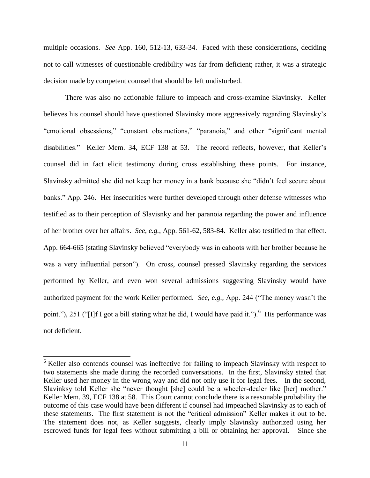multiple occasions. *See* App. 160, 512-13, 633-34. Faced with these considerations, deciding not to call witnesses of questionable credibility was far from deficient; rather, it was a strategic decision made by competent counsel that should be left undisturbed.

There was also no actionable failure to impeach and cross-examine Slavinsky. Keller believes his counsel should have questioned Slavinsky more aggressively regarding Slavinsky's "emotional obsessions," "constant obstructions," "paranoia," and other "significant mental disabilities." Keller Mem. 34, ECF 138 at 53. The record reflects, however, that Keller's counsel did in fact elicit testimony during cross establishing these points. For instance, Slavinsky admitted she did not keep her money in a bank because she "didn't feel secure about banks." App. 246. Her insecurities were further developed through other defense witnesses who testified as to their perception of Slavisnky and her paranoia regarding the power and influence of her brother over her affairs. *See, e.g.*, App. 561-62, 583-84. Keller also testified to that effect. App. 664-665 (stating Slavinsky believed "everybody was in cahoots with her brother because he was a very influential person"). On cross, counsel pressed Slavinsky regarding the services performed by Keller, and even won several admissions suggesting Slavinsky would have authorized payment for the work Keller performed. *See, e.g.,* App. 244 ("The money wasn't the point."), 251 ("[I]f I got a bill stating what he did, I would have paid it."). <sup>6</sup> His performance was not deficient.

<sup>&</sup>lt;sup>6</sup> Keller also contends counsel was ineffective for failing to impeach Slavinsky with respect to two statements she made during the recorded conversations. In the first, Slavinsky stated that Keller used her money in the wrong way and did not only use it for legal fees. In the second, Slavinksy told Keller she "never thought [she] could be a wheeler-dealer like [her] mother." Keller Mem. 39, ECF 138 at 58. This Court cannot conclude there is a reasonable probability the outcome of this case would have been different if counsel had impeached Slavinsky as to each of these statements. The first statement is not the "critical admission" Keller makes it out to be. The statement does not, as Keller suggests, clearly imply Slavinsky authorized using her escrowed funds for legal fees without submitting a bill or obtaining her approval. Since she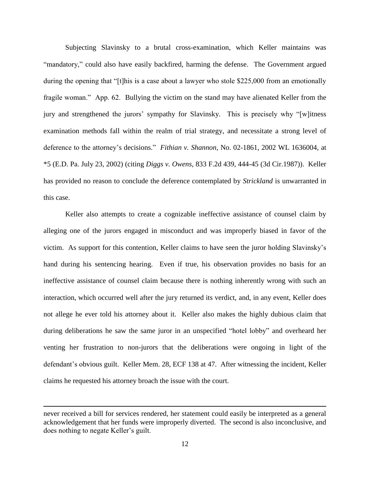Subjecting Slavinsky to a brutal cross-examination, which Keller maintains was "mandatory," could also have easily backfired, harming the defense. The Government argued during the opening that "[t]his is a case about a lawyer who stole \$225,000 from an emotionally fragile woman." App. 62. Bullying the victim on the stand may have alienated Keller from the jury and strengthened the jurors' sympathy for Slavinsky. This is precisely why "[w]itness examination methods fall within the realm of trial strategy, and necessitate a strong level of deference to the attorney's decisions." *Fithian v. Shannon*, No. 02-1861, 2002 WL 1636004, at \*5 (E.D. Pa. July 23, 2002) (citing *Diggs v. Owens,* 833 F.2d 439, 444-45 (3d Cir.1987)). Keller has provided no reason to conclude the deference contemplated by *Strickland* is unwarranted in this case.

Keller also attempts to create a cognizable ineffective assistance of counsel claim by alleging one of the jurors engaged in misconduct and was improperly biased in favor of the victim. As support for this contention, Keller claims to have seen the juror holding Slavinsky's hand during his sentencing hearing. Even if true, his observation provides no basis for an ineffective assistance of counsel claim because there is nothing inherently wrong with such an interaction, which occurred well after the jury returned its verdict, and, in any event, Keller does not allege he ever told his attorney about it. Keller also makes the highly dubious claim that during deliberations he saw the same juror in an unspecified "hotel lobby" and overheard her venting her frustration to non-jurors that the deliberations were ongoing in light of the defendant's obvious guilt. Keller Mem. 28, ECF 138 at 47. After witnessing the incident, Keller claims he requested his attorney broach the issue with the court.

never received a bill for services rendered, her statement could easily be interpreted as a general acknowledgement that her funds were improperly diverted. The second is also inconclusive, and does nothing to negate Keller's guilt.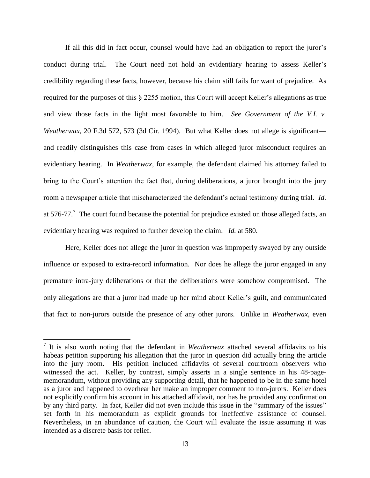If all this did in fact occur, counsel would have had an obligation to report the juror's conduct during trial. The Court need not hold an evidentiary hearing to assess Keller's credibility regarding these facts, however, because his claim still fails for want of prejudice. As required for the purposes of this § 2255 motion, this Court will accept Keller's allegations as true and view those facts in the light most favorable to him. *See Government of the V.I. v. Weatherwax*, 20 F.3d 572, 573 (3d Cir. 1994). But what Keller does not allege is significant and readily distinguishes this case from cases in which alleged juror misconduct requires an evidentiary hearing. In *Weatherwax*, for example, the defendant claimed his attorney failed to bring to the Court's attention the fact that, during deliberations, a juror brought into the jury room a newspaper article that mischaracterized the defendant's actual testimony during trial. *Id.* at 576-77.<sup>7</sup> The court found because the potential for prejudice existed on those alleged facts, an evidentiary hearing was required to further develop the claim. *Id.* at 580.

Here, Keller does not allege the juror in question was improperly swayed by any outside influence or exposed to extra-record information. Nor does he allege the juror engaged in any premature intra-jury deliberations or that the deliberations were somehow compromised. The only allegations are that a juror had made up her mind about Keller's guilt, and communicated that fact to non-jurors outside the presence of any other jurors. Unlike in *Weatherwax*, even

 7 It is also worth noting that the defendant in *Weatherwax* attached several affidavits to his habeas petition supporting his allegation that the juror in question did actually bring the article into the jury room. His petition included affidavits of several courtroom observers who witnessed the act. Keller, by contrast, simply asserts in a single sentence in his 48-pagememorandum, without providing any supporting detail, that he happened to be in the same hotel as a juror and happened to overhear her make an improper comment to non-jurors. Keller does not explicitly confirm his account in his attached affidavit, nor has he provided any confirmation by any third party. In fact, Keller did not even include this issue in the "summary of the issues" set forth in his memorandum as explicit grounds for ineffective assistance of counsel. Nevertheless, in an abundance of caution, the Court will evaluate the issue assuming it was intended as a discrete basis for relief.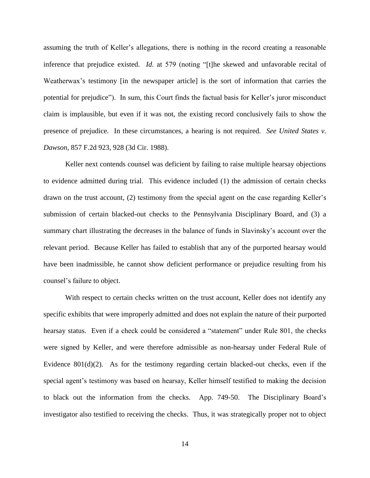assuming the truth of Keller's allegations, there is nothing in the record creating a reasonable inference that prejudice existed. *Id.* at 579 (noting "[t]he skewed and unfavorable recital of Weatherwax's testimony [in the newspaper article] is the sort of information that carries the potential for prejudice"). In sum, this Court finds the factual basis for Keller's juror misconduct claim is implausible, but even if it was not, the existing record conclusively fails to show the presence of prejudice. In these circumstances, a hearing is not required. *See United States v. Dawson*, 857 F.2d 923, 928 (3d Cir. 1988).

Keller next contends counsel was deficient by failing to raise multiple hearsay objections to evidence admitted during trial. This evidence included (1) the admission of certain checks drawn on the trust account, (2) testimony from the special agent on the case regarding Keller's submission of certain blacked-out checks to the Pennsylvania Disciplinary Board, and (3) a summary chart illustrating the decreases in the balance of funds in Slavinsky's account over the relevant period. Because Keller has failed to establish that any of the purported hearsay would have been inadmissible, he cannot show deficient performance or prejudice resulting from his counsel's failure to object.

With respect to certain checks written on the trust account, Keller does not identify any specific exhibits that were improperly admitted and does not explain the nature of their purported hearsay status. Even if a check could be considered a "statement" under Rule 801, the checks were signed by Keller, and were therefore admissible as non-hearsay under Federal Rule of Evidence  $801(d)(2)$ . As for the testimony regarding certain blacked-out checks, even if the special agent's testimony was based on hearsay, Keller himself testified to making the decision to black out the information from the checks. App. 749-50. The Disciplinary Board's investigator also testified to receiving the checks. Thus, it was strategically proper not to object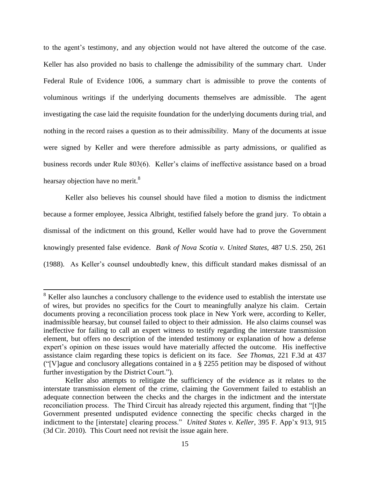to the agent's testimony, and any objection would not have altered the outcome of the case. Keller has also provided no basis to challenge the admissibility of the summary chart. Under Federal Rule of Evidence 1006, a summary chart is admissible to prove the contents of voluminous writings if the underlying documents themselves are admissible. The agent investigating the case laid the requisite foundation for the underlying documents during trial, and nothing in the record raises a question as to their admissibility. Many of the documents at issue were signed by Keller and were therefore admissible as party admissions, or qualified as business records under Rule 803(6). Keller's claims of ineffective assistance based on a broad hearsay objection have no merit. $8$ 

Keller also believes his counsel should have filed a motion to dismiss the indictment because a former employee, Jessica Albright, testified falsely before the grand jury. To obtain a dismissal of the indictment on this ground, Keller would have had to prove the Government knowingly presented false evidence. *Bank of Nova Scotia v. United States*, 487 U.S. 250, 261 (1988). As Keller's counsel undoubtedly knew, this difficult standard makes dismissal of an

 $8$  Keller also launches a conclusory challenge to the evidence used to establish the interstate use of wires, but provides no specifics for the Court to meaningfully analyze his claim. Certain documents proving a reconciliation process took place in New York were, according to Keller, inadmissible hearsay, but counsel failed to object to their admission. He also claims counsel was ineffective for failing to call an expert witness to testify regarding the interstate transmission element, but offers no description of the intended testimony or explanation of how a defense expert's opinion on these issues would have materially affected the outcome. His ineffective assistance claim regarding these topics is deficient on its face. *See Thomas,* 221 F.3d at 437 ("[V]ague and conclusory allegations contained in a § 2255 petition may be disposed of without further investigation by the District Court.").

Keller also attempts to relitigate the sufficiency of the evidence as it relates to the interstate transmission element of the crime, claiming the Government failed to establish an adequate connection between the checks and the charges in the indictment and the interstate reconciliation process. The Third Circuit has already rejected this argument, finding that "[t]he Government presented undisputed evidence connecting the specific checks charged in the indictment to the [interstate] clearing process." *United States v. Keller*, 395 F. App'x 913, 915 (3d Cir. 2010). This Court need not revisit the issue again here.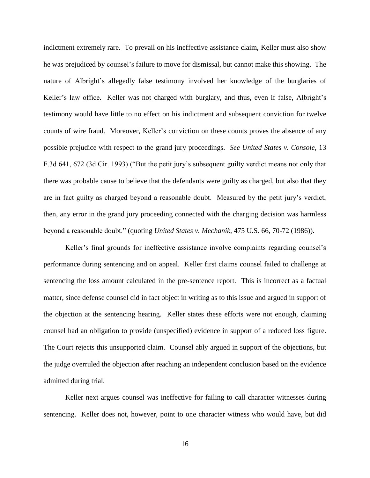indictment extremely rare. To prevail on his ineffective assistance claim, Keller must also show he was prejudiced by counsel's failure to move for dismissal, but cannot make this showing. The nature of Albright's allegedly false testimony involved her knowledge of the burglaries of Keller's law office. Keller was not charged with burglary, and thus, even if false, Albright's testimony would have little to no effect on his indictment and subsequent conviction for twelve counts of wire fraud. Moreover, Keller's conviction on these counts proves the absence of any possible prejudice with respect to the grand jury proceedings. *See United States v. Console*, 13 F.3d 641, 672 (3d Cir. 1993) ("But the petit jury's subsequent guilty verdict means not only that there was probable cause to believe that the defendants were guilty as charged, but also that they are in fact guilty as charged beyond a reasonable doubt. Measured by the petit jury's verdict, then, any error in the grand jury proceeding connected with the charging decision was harmless beyond a reasonable doubt." (quoting *United States v. Mechanik*, 475 U.S. 66, 70-72 (1986)).

Keller's final grounds for ineffective assistance involve complaints regarding counsel's performance during sentencing and on appeal. Keller first claims counsel failed to challenge at sentencing the loss amount calculated in the pre-sentence report. This is incorrect as a factual matter, since defense counsel did in fact object in writing as to this issue and argued in support of the objection at the sentencing hearing. Keller states these efforts were not enough, claiming counsel had an obligation to provide (unspecified) evidence in support of a reduced loss figure. The Court rejects this unsupported claim. Counsel ably argued in support of the objections, but the judge overruled the objection after reaching an independent conclusion based on the evidence admitted during trial.

Keller next argues counsel was ineffective for failing to call character witnesses during sentencing. Keller does not, however, point to one character witness who would have, but did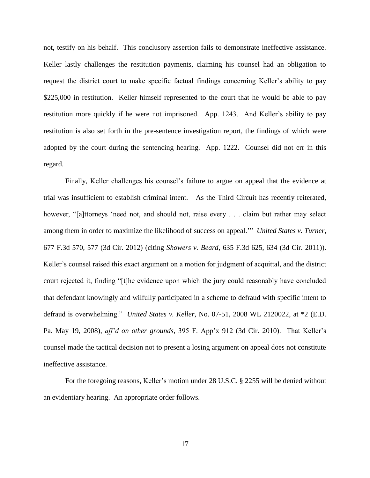not, testify on his behalf. This conclusory assertion fails to demonstrate ineffective assistance. Keller lastly challenges the restitution payments, claiming his counsel had an obligation to request the district court to make specific factual findings concerning Keller's ability to pay \$225,000 in restitution. Keller himself represented to the court that he would be able to pay restitution more quickly if he were not imprisoned. App. 1243. And Keller's ability to pay restitution is also set forth in the pre-sentence investigation report, the findings of which were adopted by the court during the sentencing hearing. App. 1222. Counsel did not err in this regard.

Finally, Keller challenges his counsel's failure to argue on appeal that the evidence at trial was insufficient to establish criminal intent. As the Third Circuit has recently reiterated, however, "[a]ttorneys 'need not, and should not, raise every . . . claim but rather may select among them in order to maximize the likelihood of success on appeal.'" *United States v. Turner*, 677 F.3d 570, 577 (3d Cir. 2012) (citing *Showers v. Beard*, 635 F.3d 625, 634 (3d Cir. 2011)). Keller's counsel raised this exact argument on a motion for judgment of acquittal, and the district court rejected it, finding "[t]he evidence upon which the jury could reasonably have concluded that defendant knowingly and wilfully participated in a scheme to defraud with specific intent to defraud is overwhelming." *United States v. Keller*, No. 07-51, 2008 WL 2120022, at \*2 (E.D. Pa. May 19, 2008), *aff'd on other grounds*, 395 F. App'x 912 (3d Cir. 2010). That Keller's counsel made the tactical decision not to present a losing argument on appeal does not constitute ineffective assistance.

For the foregoing reasons, Keller's motion under 28 U.S.C. § 2255 will be denied without an evidentiary hearing. An appropriate order follows.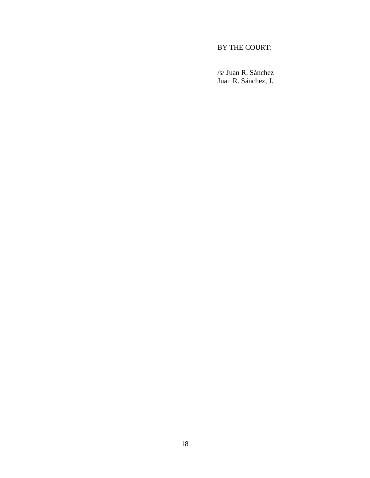# BY THE COURT:

/s/ Juan R. Sánchez Juan R. Sánchez, J.